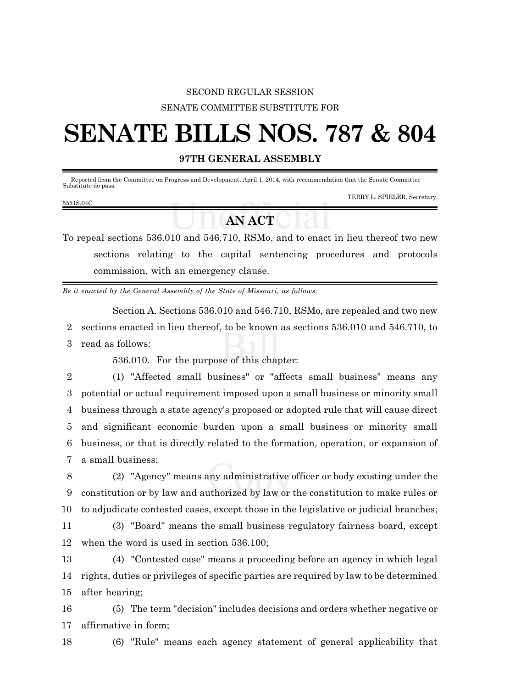## SECOND REGULAR SESSION SENATE COMMITTEE SUBSTITUTE FOR

# **SENATE BILLS NOS. 787 & 804**

### **97TH GENERAL ASSEMBLY**

Reported from the Committee on Progress and Development, April 1, 2014, with recommendation that the Senate Committee Substitute do pass.

#### 5551S.04C

#### TERRY L. SPIELER, Secretary.

## **AN ACT**

To repeal sections 536.010 and 546.710, RSMo, and to enact in lieu thereof two new sections relating to the capital sentencing procedures and protocols commission, with an emergency clause.

*Be it enacted by the General Assembly of the State of Missouri, as follows:*

Section A. Sections 536.010 and 546.710, RSMo, are repealed and two new 2 sections enacted in lieu thereof, to be known as sections 536.010 and 546.710, to 3 read as follows:

536.010. For the purpose of this chapter:

 (1) "Affected small business" or "affects small business" means any potential or actual requirement imposed upon a small business or minority small business through a state agency's proposed or adopted rule that will cause direct and significant economic burden upon a small business or minority small business, or that is directly related to the formation, operation, or expansion of a small business;

8 (2) "Agency" means any administrative officer or body existing under the 9 constitution or by law and authorized by law or the constitution to make rules or 10 to adjudicate contested cases, except those in the legislative or judicial branches;

11 (3) "Board" means the small business regulatory fairness board, except 12 when the word is used in section 536.100;

13 (4) "Contested case" means a proceeding before an agency in which legal 14 rights, duties or privileges of specific parties are required by law to be determined 15 after hearing;

16 (5) The term "decision" includes decisions and orders whether negative or 17 affirmative in form;

18 (6) "Rule" means each agency statement of general applicability that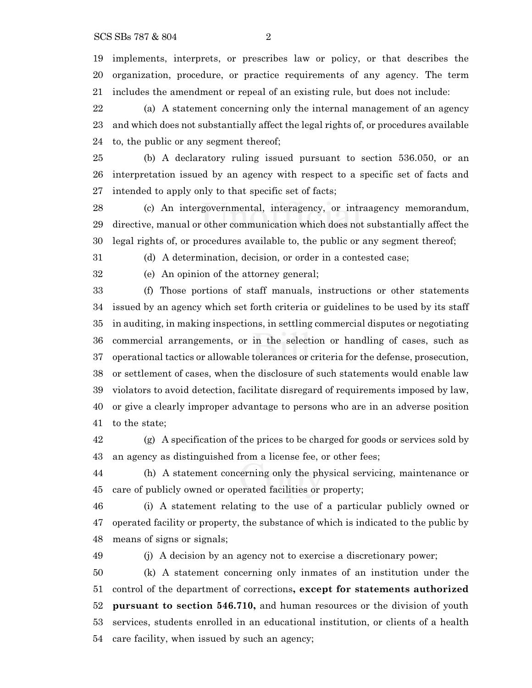implements, interprets, or prescribes law or policy, or that describes the organization, procedure, or practice requirements of any agency. The term includes the amendment or repeal of an existing rule, but does not include:

 (a) A statement concerning only the internal management of an agency and which does not substantially affect the legal rights of, or procedures available to, the public or any segment thereof;

 (b) A declaratory ruling issued pursuant to section 536.050, or an interpretation issued by an agency with respect to a specific set of facts and intended to apply only to that specific set of facts;

 (c) An intergovernmental, interagency, or intraagency memorandum, directive, manual or other communication which does not substantially affect the legal rights of, or procedures available to, the public or any segment thereof;

(d) A determination, decision, or order in a contested case;

(e) An opinion of the attorney general;

 (f) Those portions of staff manuals, instructions or other statements issued by an agency which set forth criteria or guidelines to be used by its staff in auditing, in making inspections, in settling commercial disputes or negotiating commercial arrangements, or in the selection or handling of cases, such as operational tactics or allowable tolerances or criteria for the defense, prosecution, or settlement of cases, when the disclosure of such statements would enable law violators to avoid detection, facilitate disregard of requirements imposed by law, or give a clearly improper advantage to persons who are in an adverse position to the state;

 (g) A specification of the prices to be charged for goods or services sold by an agency as distinguished from a license fee, or other fees;

 (h) A statement concerning only the physical servicing, maintenance or care of publicly owned or operated facilities or property;

 (i) A statement relating to the use of a particular publicly owned or operated facility or property, the substance of which is indicated to the public by means of signs or signals;

(j) A decision by an agency not to exercise a discretionary power;

 (k) A statement concerning only inmates of an institution under the control of the department of corrections**, except for statements authorized pursuant to section 546.710,** and human resources or the division of youth services, students enrolled in an educational institution, or clients of a health care facility, when issued by such an agency;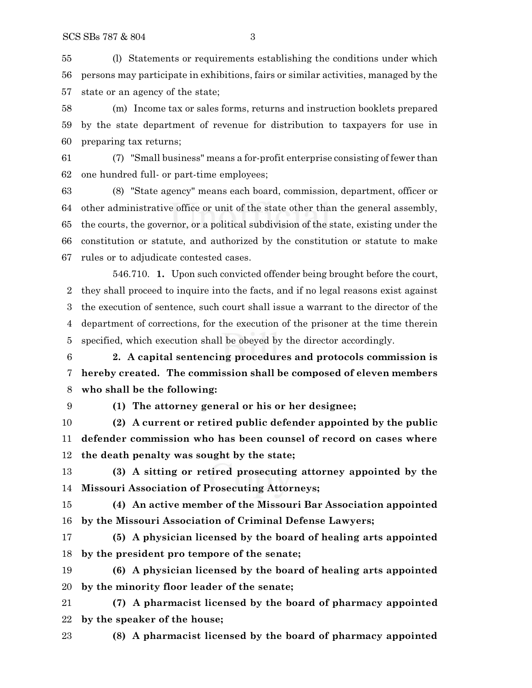(l) Statements or requirements establishing the conditions under which persons may participate in exhibitions, fairs or similar activities, managed by the state or an agency of the state;

 (m) Income tax or sales forms, returns and instruction booklets prepared by the state department of revenue for distribution to taxpayers for use in preparing tax returns;

 (7) "Small business" means a for-profit enterprise consisting of fewer than one hundred full- or part-time employees;

 (8) "State agency" means each board, commission, department, officer or other administrative office or unit of the state other than the general assembly, the courts, the governor, or a political subdivision of the state, existing under the constitution or statute, and authorized by the constitution or statute to make rules or to adjudicate contested cases.

546.710. **1.** Upon such convicted offender being brought before the court, they shall proceed to inquire into the facts, and if no legal reasons exist against the execution of sentence, such court shall issue a warrant to the director of the department of corrections, for the execution of the prisoner at the time therein specified, which execution shall be obeyed by the director accordingly.

 **2. A capital sentencing procedures and protocols commission is hereby created. The commission shall be composed of eleven members who shall be the following:**

**(1) The attorney general or his or her designee;**

 **(2) A current or retired public defender appointed by the public defender commission who has been counsel of record on cases where the death penalty was sought by the state;**

 **(3) A sitting or retired prosecuting attorney appointed by the Missouri Association of Prosecuting Attorneys;**

 **(4) An active member of the Missouri Bar Association appointed by the Missouri Association of Criminal Defense Lawyers;**

 **(5) A physician licensed by the board of healing arts appointed by the president pro tempore of the senate;**

 **(6) A physician licensed by the board of healing arts appointed by the minority floor leader of the senate;**

 **(7) A pharmacist licensed by the board of pharmacy appointed by the speaker of the house;**

**(8) A pharmacist licensed by the board of pharmacy appointed**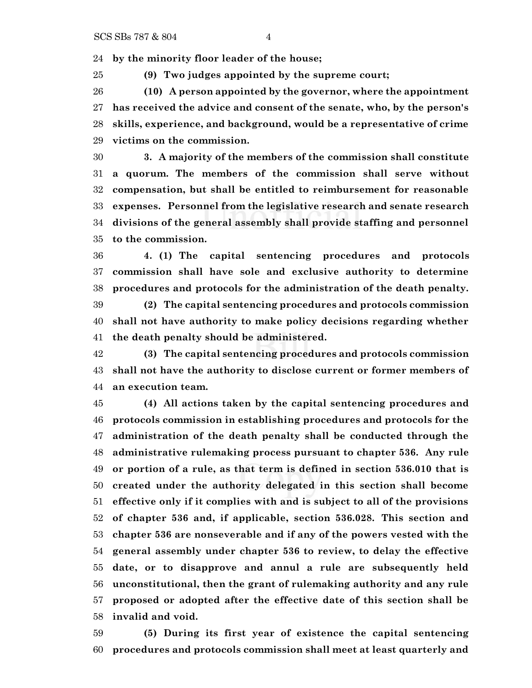**by the minority floor leader of the house;**

**(9) Two judges appointed by the supreme court;**

 **(10) A person appointed by the governor, where the appointment has received the advice and consent of the senate, who, by the person's skills, experience, and background, would be a representative of crime victims on the commission.**

 **3. A majority of the members of the commission shall constitute a quorum. The members of the commission shall serve without compensation, but shall be entitled to reimbursement for reasonable expenses. Personnel from the legislative research and senate research divisions of the general assembly shall provide staffing and personnel to the commission.**

 **4. (1) The capital sentencing procedures and protocols commission shall have sole and exclusive authority to determine procedures and protocols for the administration of the death penalty.**

 **(2) The capital sentencing procedures and protocols commission shall not have authority to make policy decisions regarding whether the death penalty should be administered.**

 **(3) The capital sentencing procedures and protocols commission shall not have the authority to disclose current or former members of an execution team.**

 **(4) All actions taken by the capital sentencing procedures and protocols commission in establishing procedures and protocols for the administration of the death penalty shall be conducted through the administrative rulemaking process pursuant to chapter 536. Any rule or portion of a rule, as that term is defined in section 536.010 that is created under the authority delegated in this section shall become effective only if it complies with and is subject to all of the provisions of chapter 536 and, if applicable, section 536.028. This section and chapter 536 are nonseverable and if any of the powers vested with the general assembly under chapter 536 to review, to delay the effective date, or to disapprove and annul a rule are subsequently held unconstitutional, then the grant of rulemaking authority and any rule proposed or adopted after the effective date of this section shall be invalid and void.**

 **(5) During its first year of existence the capital sentencing procedures and protocols commission shall meet at least quarterly and**